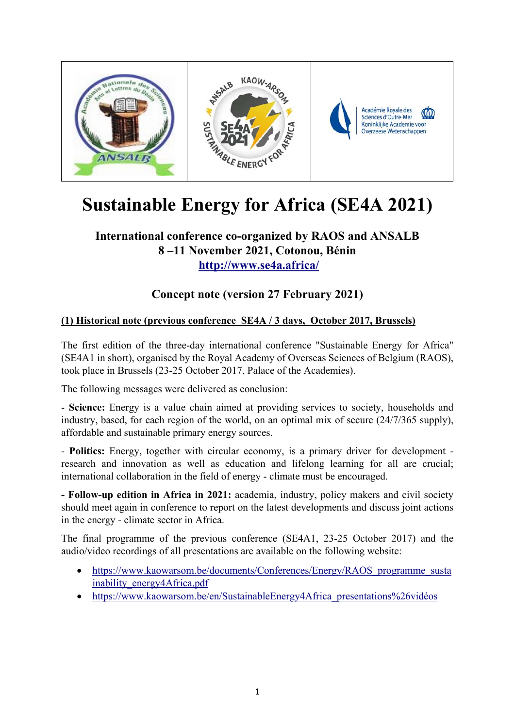

# **Sustainable Energy for Africa (SE4A 2021)**

## **International conference co-organized by RAOS and ANSALB 8 –11 November 2021, Cotonou, Bénin http://www.se4a.africa/**

## **Concept note (version 27 February 2021)**

### **(1) Historical note (previous conference SE4A / 3 days, October 2017, Brussels)**

The first edition of the three-day international conference "Sustainable Energy for Africa" (SE4A1 in short), organised by the Royal Academy of Overseas Sciences of Belgium (RAOS), took place in Brussels (23-25 October 2017, Palace of the Academies).

The following messages were delivered as conclusion:

- **Science:** Energy is a value chain aimed at providing services to society, households and industry, based, for each region of the world, on an optimal mix of secure (24/7/365 supply), affordable and sustainable primary energy sources.

- **Politics:** Energy, together with circular economy, is a primary driver for development research and innovation as well as education and lifelong learning for all are crucial; international collaboration in the field of energy - climate must be encouraged.

**- Follow-up edition in Africa in 2021:** academia, industry, policy makers and civil society should meet again in conference to report on the latest developments and discuss joint actions in the energy - climate sector in Africa.

The final programme of the previous conference (SE4A1, 23-25 October 2017) and the audio/video recordings of all presentations are available on the following website:

- https://www.kaowarsom.be/documents/Conferences/Energy/RAOS programme susta inability\_energy4Africa.pdf
- https://www.kaowarsom.be/en/SustainableEnergy4Africa\_presentations%26vidéos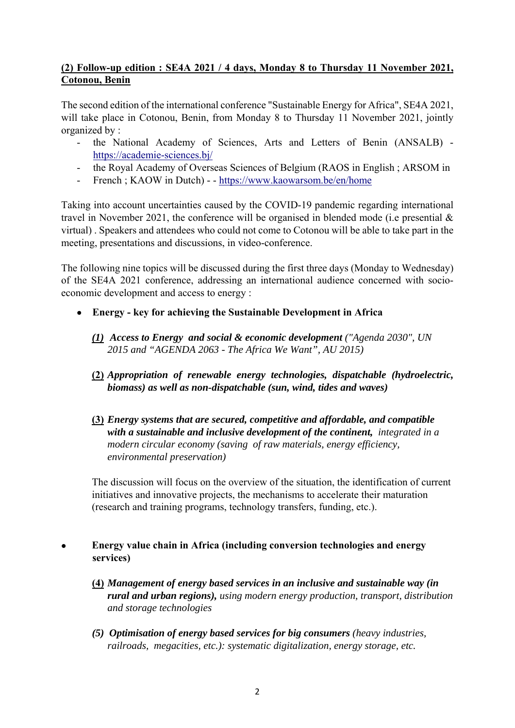#### **(2) Follow-up edition : SE4A 2021 / 4 days, Monday 8 to Thursday 11 November 2021, Cotonou, Benin**

The second edition of the international conference "Sustainable Energy for Africa", SE4A 2021, will take place in Cotonou, Benin, from Monday 8 to Thursday 11 November 2021, jointly organized by :

- the National Academy of Sciences, Arts and Letters of Benin (ANSALB) https://academie-sciences.bj/
- the Royal Academy of Overseas Sciences of Belgium (RAOS in English ; ARSOM in
- French ; KAOW in Dutch) - https://www.kaowarsom.be/en/home

Taking into account uncertainties caused by the COVID-19 pandemic regarding international travel in November 2021, the conference will be organised in blended mode (i.e presential  $\&$ virtual) . Speakers and attendees who could not come to Cotonou will be able to take part in the meeting, presentations and discussions, in video-conference.

The following nine topics will be discussed during the first three days (Monday to Wednesday) of the SE4A 2021 conference, addressing an international audience concerned with socioeconomic development and access to energy :

- **Energy key for achieving the Sustainable Development in Africa** 
	- *(1) Access to Energy and social & economic development ("Agenda 2030", UN 2015 and "AGENDA 2063 - The Africa We Want", AU 2015)*
	- **(2)** *Appropriation of renewable energy technologies, dispatchable (hydroelectric, biomass) as well as non-dispatchable (sun, wind, tides and waves)*
	- **(3)** *Energy systems that are secured, competitive and affordable, and compatible with a sustainable and inclusive development of the continent, integrated in a modern circular economy (saving of raw materials, energy efficiency, environmental preservation)*

The discussion will focus on the overview of the situation, the identification of current initiatives and innovative projects, the mechanisms to accelerate their maturation (research and training programs, technology transfers, funding, etc.).

- **Energy value chain in Africa (including conversion technologies and energy services)** 
	- **(4)** *Management of energy based services in an inclusive and sustainable way (in rural and urban regions), using modern energy production, transport, distribution and storage technologies*
	- *(5) Optimisation of energy based services for big consumers (heavy industries, railroads, megacities, etc.): systematic digitalization, energy storage, etc.*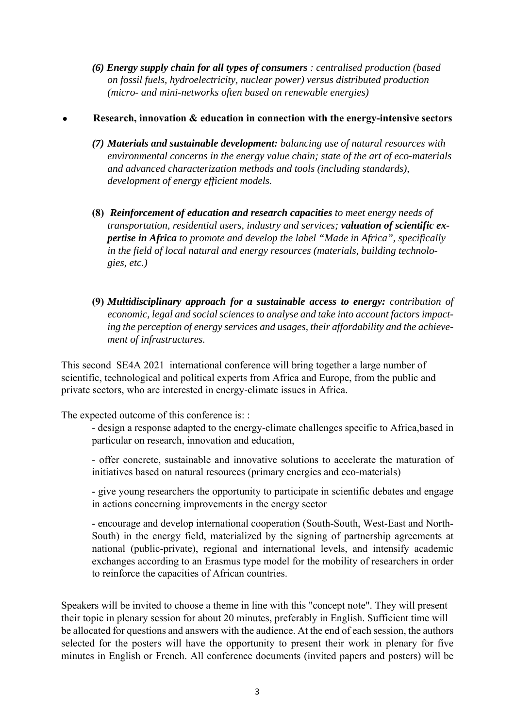*(6) Energy supply chain for all types of consumers : centralised production (based on fossil fuels, hydroelectricity, nuclear power) versus distributed production (micro- and mini-networks often based on renewable energies)* 

#### **Research, innovation & education in connection with the energy-intensive sectors**

- *(7) Materials and sustainable development: balancing use of natural resources with environmental concerns in the energy value chain; state of the art of eco-materials and advanced characterization methods and tools (including standards), development of energy efficient models.*
- **(8)** *Reinforcement of education and research capacities to meet energy needs of transportation, residential users, industry and services; valuation of scientific expertise in Africa to promote and develop the label "Made in Africa", specifically in the field of local natural and energy resources (materials, building technologies, etc.)*
- **(9)** *Multidisciplinary approach for a sustainable access to energy: contribution of economic, legal and social sciences to analyse and take into account factors impacting the perception of energy services and usages, their affordability and the achievement of infrastructures.*

This second SE4A 2021 international conference will bring together a large number of scientific, technological and political experts from Africa and Europe, from the public and private sectors, who are interested in energy-climate issues in Africa.

The expected outcome of this conference is: :

- design a response adapted to the energy-climate challenges specific to Africa,based in particular on research, innovation and education,

- offer concrete, sustainable and innovative solutions to accelerate the maturation of initiatives based on natural resources (primary energies and eco-materials)

- give young researchers the opportunity to participate in scientific debates and engage in actions concerning improvements in the energy sector

- encourage and develop international cooperation (South-South, West-East and North-South) in the energy field, materialized by the signing of partnership agreements at national (public-private), regional and international levels, and intensify academic exchanges according to an Erasmus type model for the mobility of researchers in order to reinforce the capacities of African countries.

Speakers will be invited to choose a theme in line with this "concept note". They will present their topic in plenary session for about 20 minutes, preferably in English. Sufficient time will be allocated for questions and answers with the audience. At the end of each session, the authors selected for the posters will have the opportunity to present their work in plenary for five minutes in English or French. All conference documents (invited papers and posters) will be